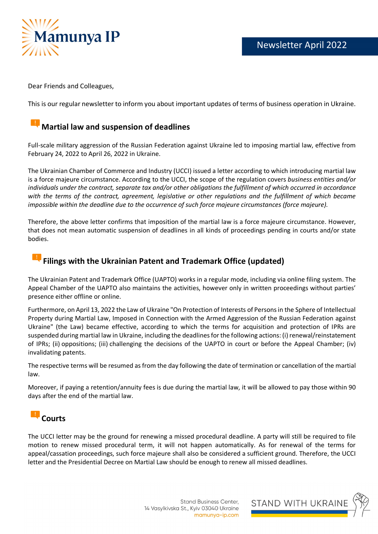

Dear Friends and Colleagues,

This is our regular newsletter to inform you about important updates of terms of business operation in Ukraine.

#### **Martial law and suspension of deadlines**

Full-scale military aggression of the Russian Federation against Ukraine led to imposing martial law, effective from February 24, 2022 to April 26, 2022 in Ukraine.

The Ukrainian Chamber of Commerce and Industry (UCCI) issued a letter according to which introducing martial law is a force majeure circumstance. According to the UCCI, the scope of the regulation covers *business entities and/or individuals under the contract, separate tax and/or other obligations the fulfillment of which occurred in accordance with the terms of the contract, agreement, legislative or other regulations and the fulfillment of which became impossible within the deadline due to the occurrence of such force majeure circumstances (force majeure).*

Therefore, the above letter confirms that imposition of the martial law is a force majeure circumstance. However, that does not mean automatic suspension of deadlines in all kinds of proceedings pending in courts and/or state bodies.

# **Filings with the Ukrainian Patent and Trademark Office (updated)**

The Ukrainian Patent and Trademark Office (UAPTO) works in a regular mode, including via online filing system. The Appeal Chamber of the UAPTO also maintains the activities, however only in written proceedings without parties' presence either offline or online.

Furthermore, on April 13, 2022 the Law of Ukraine "On Protection of Interests of Persons in the Sphere of Intellectual Property during Martial Law, Imposed in Connection with the Armed Aggression of the Russian Federation against Ukraine" (the Law) became effective, according to which the terms for acquisition and protection of IPRs are suspended during martial law in Ukraine, including the deadlines for the following actions: (i) renewal/reinstatement of IPRs; (ii) oppositions; (iii) challenging the decisions of the UAPTO in court or before the Appeal Chamber; (iv) invalidating patents.

The respective terms will be resumed as from the day following the date of termination or cancellation of the martial law.

Moreover, if paying a retention/annuity fees is due during the martial law, it will be allowed to pay those within 90 days after the end of the martial law.

### **Courts**

The UCCI letter may be the ground for renewing a missed procedural deadline. A party will still be required to file motion to renew missed procedural term, it will not happen automatically. As for renewal of the terms for appeal/cassation proceedings, such force majeure shall also be considered a sufficient ground. Therefore, the UCCI letter and the Presidential Decree on Martial Law should be enough to renew all missed deadlines.